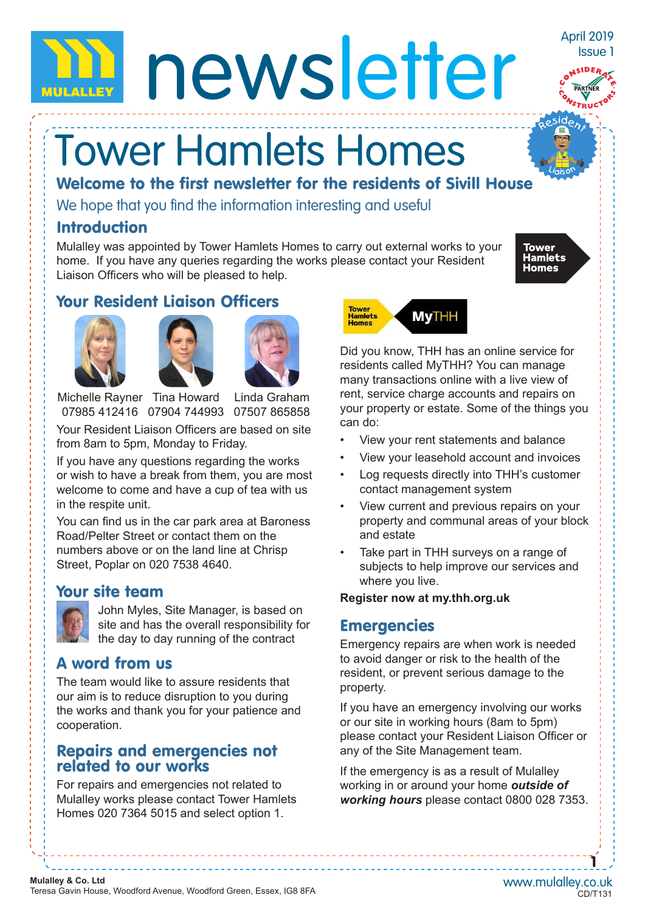# newsletter

## Tower Hamlets Homes

Welcome to the first newsletter for the residents of Sivill House

We hope that you find the information interesting and useful

#### Introduction

Mulalley was appointed by Tower Hamlets Homes to carry out external works to your home. If you have any queries regarding the works please contact your Resident Liaison Officers who will be pleased to help.



April 2019 Issue 1

#### Your Resident Liaison Officers







Michelle Rayner Tina Howard 07985 412416 07904 744993 07507 865858 Linda Graham

Your Resident Liaison Officers are based on site from 8am to 5pm, Monday to Friday.

If you have any questions regarding the works or wish to have a break from them, you are most welcome to come and have a cup of tea with us in the respite unit.

You can find us in the car park area at Baroness Road/Pelter Street or contact them on the numbers above or on the land line at Chrisp Street, Poplar on 020 7538 4640.

#### Your site team



John Myles, Site Manager, is based on site and has the overall responsibility for the day to day running of the contract

#### A word from us

The team would like to assure residents that our aim is to reduce disruption to you during the works and thank you for your patience and cooperation.

#### Repairs and emergencies not related to our works

For repairs and emergencies not related to Mulalley works please contact Tower Hamlets Homes 020 7364 5015 and select option 1.



Did you know, THH has an online service for residents called MyTHH? You can manage many transactions online with a live view of rent, service charge accounts and repairs on your property or estate. Some of the things you can do:

- View your rent statements and balance
- View your leasehold account and invoices
- Log requests directly into THH's customer contact management system
- View current and previous repairs on your property and communal areas of your block and estate
- Take part in THH surveys on a range of subjects to help improve our services and where you live.

#### **Register now at my.thh.org.uk**

#### **Emergencies**

Emergency repairs are when work is needed to avoid danger or risk to the health of the resident, or prevent serious damage to the property.

If you have an emergency involving our works or our site in working hours (8am to 5pm) please contact your Resident Liaison Officer or any of the Site Management team.

If the emergency is as a result of Mulalley working in or around your home *outside of working hours* please contact 0800 028 7353.

1